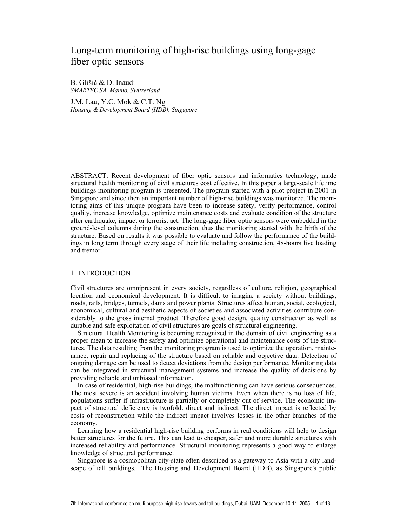# Long-term monitoring of high-rise buildings using long-gage fiber optic sensors

B. Glišić & D. Inaudi *SMARTEC SA, Manno, Switzerland* 

J.M. Lau, Y.C. Mok & C.T. Ng *Housing & Development Board (HDB), Singapore* 

ABSTRACT: Recent development of fiber optic sensors and informatics technology, made structural health monitoring of civil structures cost effective. In this paper a large-scale lifetime buildings monitoring program is presented. The program started with a pilot project in 2001 in Singapore and since then an important number of high-rise buildings was monitored. The monitoring aims of this unique program have been to increase safety, verify performance, control quality, increase knowledge, optimize maintenance costs and evaluate condition of the structure after earthquake, impact or terrorist act. The long-gage fiber optic sensors were embedded in the ground-level columns during the construction, thus the monitoring started with the birth of the structure. Based on results it was possible to evaluate and follow the performance of the buildings in long term through every stage of their life including construction, 48-hours live loading and tremor.

# 1 INTRODUCTION

Civil structures are omnipresent in every society, regardless of culture, religion, geographical location and economical development. It is difficult to imagine a society without buildings, roads, rails, bridges, tunnels, dams and power plants. Structures affect human, social, ecological, economical, cultural and aesthetic aspects of societies and associated activities contribute considerably to the gross internal product. Therefore good design, quality construction as well as durable and safe exploitation of civil structures are goals of structural engineering.

Structural Health Monitoring is becoming recognized in the domain of civil engineering as a proper mean to increase the safety and optimize operational and maintenance costs of the structures. The data resulting from the monitoring program is used to optimize the operation, maintenance, repair and replacing of the structure based on reliable and objective data. Detection of ongoing damage can be used to detect deviations from the design performance. Monitoring data can be integrated in structural management systems and increase the quality of decisions by providing reliable and unbiased information.

In case of residential, high-rise buildings, the malfunctioning can have serious consequences. The most severe is an accident involving human victims. Even when there is no loss of life, populations suffer if infrastructure is partially or completely out of service. The economic impact of structural deficiency is twofold: direct and indirect. The direct impact is reflected by costs of reconstruction while the indirect impact involves losses in the other branches of the economy.

Learning how a residential high-rise building performs in real conditions will help to design better structures for the future. This can lead to cheaper, safer and more durable structures with increased reliability and performance. Structural monitoring represents a good way to enlarge knowledge of structural performance.

Singapore is a cosmopolitan city-state often described as a gateway to Asia with a city landscape of tall buildings. The Housing and Development Board (HDB), as Singapore's public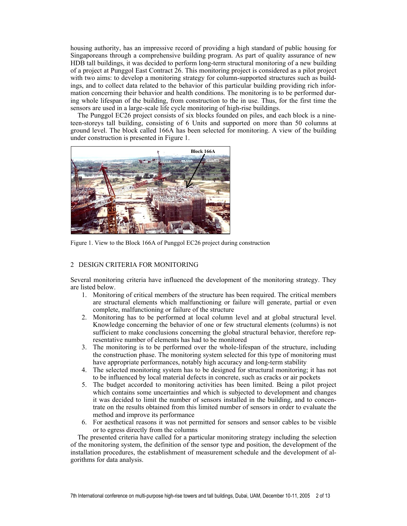housing authority, has an impressive record of providing a high standard of public housing for Singaporeans through a comprehensive building program. As part of quality assurance of new HDB tall buildings, it was decided to perform long-term structural monitoring of a new building of a project at Punggol East Contract 26. This monitoring project is considered as a pilot project with two aims: to develop a monitoring strategy for column-supported structures such as buildings, and to collect data related to the behavior of this particular building providing rich information concerning their behavior and health conditions. The monitoring is to be performed during whole lifespan of the building, from construction to the in use. Thus, for the first time the sensors are used in a large-scale life cycle monitoring of high-rise buildings.

The Punggol EC26 project consists of six blocks founded on piles, and each block is a nineteen-storeys tall building, consisting of 6 Units and supported on more than 50 columns at ground level. The block called 166A has been selected for monitoring. A view of the building under construction is presented in Figure 1.



Figure 1. View to the Block 166A of Punggol EC26 project during construction

# 2 DESIGN CRITERIA FOR MONITORING

Several monitoring criteria have influenced the development of the monitoring strategy. They are listed below.

- 1. Monitoring of critical members of the structure has been required. The critical members are structural elements which malfunctioning or failure will generate, partial or even complete, malfunctioning or failure of the structure
- 2. Monitoring has to be performed at local column level and at global structural level. Knowledge concerning the behavior of one or few structural elements (columns) is not sufficient to make conclusions concerning the global structural behavior, therefore representative number of elements has had to be monitored
- 3. The monitoring is to be performed over the whole-lifespan of the structure, including the construction phase. The monitoring system selected for this type of monitoring must have appropriate performances, notably high accuracy and long-term stability
- 4. The selected monitoring system has to be designed for structural monitoring; it has not to be influenced by local material defects in concrete, such as cracks or air pockets
- 5. The budget accorded to monitoring activities has been limited. Being a pilot project which contains some uncertainties and which is subjected to development and changes it was decided to limit the number of sensors installed in the building, and to concentrate on the results obtained from this limited number of sensors in order to evaluate the method and improve its performance
- 6. For aesthetical reasons it was not permitted for sensors and sensor cables to be visible or to egress directly from the columns

The presented criteria have called for a particular monitoring strategy including the selection of the monitoring system, the definition of the sensor type and position, the development of the installation procedures, the establishment of measurement schedule and the development of algorithms for data analysis.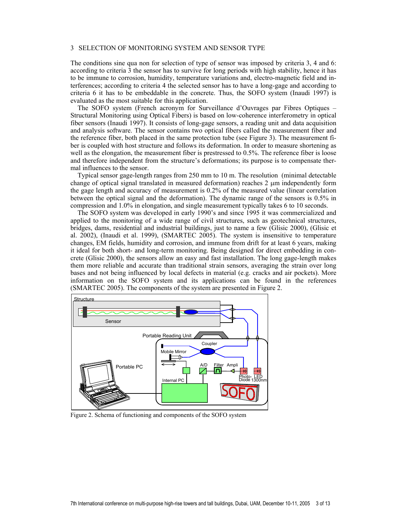### 3 SELECTION OF MONITORING SYSTEM AND SENSOR TYPE

The conditions sine qua non for selection of type of sensor was imposed by criteria 3, 4 and 6: according to criteria 3 the sensor has to survive for long periods with high stability, hence it has to be immune to corrosion, humidity, temperature variations and, electro-magnetic field and interferences; according to criteria 4 the selected sensor has to have a long-gage and according to criteria 6 it has to be embeddable in the concrete. Thus, the SOFO system (Inaudi 1997) is evaluated as the most suitable for this application.

The SOFO system (French acronym for Surveillance d'Ouvrages par Fibres Optiques – Structural Monitoring using Optical Fibers) is based on low-coherence interferometry in optical fiber sensors (Inaudi 1997). It consists of long-gage sensors, a reading unit and data acquisition and analysis software. The sensor contains two optical fibers called the measurement fiber and the reference fiber, both placed in the same protection tube (see Figure 3). The measurement fiber is coupled with host structure and follows its deformation. In order to measure shortening as well as the elongation, the measurement fiber is prestressed to 0.5%. The reference fiber is loose and therefore independent from the structure's deformations; its purpose is to compensate thermal influences to the sensor.

Typical sensor gage-length ranges from 250 mm to 10 m. The resolution (minimal detectable change of optical signal translated in measured deformation) reaches 2 µm independently form the gage length and accuracy of measurement is 0.2% of the measured value (linear correlation between the optical signal and the deformation). The dynamic range of the sensors is 0.5% in compression and 1.0% in elongation, and single measurement typically takes 6 to 10 seconds.

The SOFO system was developed in early 1990's and since 1995 it was commercialized and applied to the monitoring of a wide range of civil structures, such as geotechnical structures, bridges, dams, residential and industrial buildings, just to name a few (Glisic 2000), (Glisic et al. 2002), (Inaudi et al. 1999), (SMARTEC 2005). The system is insensitive to temperature changes, EM fields, humidity and corrosion, and immune from drift for at least 6 years, making it ideal for both short- and long-term monitoring. Being designed for direct embedding in concrete (Glisic 2000), the sensors allow an easy and fast installation. The long gage-length makes them more reliable and accurate than traditional strain sensors, averaging the strain over long bases and not being influenced by local defects in material (e.g. cracks and air pockets). More information on the SOFO system and its applications can be found in the references (SMARTEC 2005). The components of the system are presented in Figure 2.



Figure 2. Schema of functioning and components of the SOFO system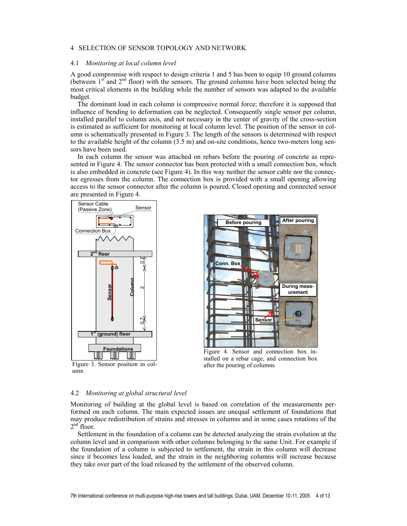# 4 SELECTION OF SENSOR TOPOLOGY AND NETWORK

### 4.1 *Monitoring at local column level*

A good compromise with respect to design criteria 1 and 5 has been to equip 10 ground columns (between  $1<sup>st</sup>$  and  $2<sup>nd</sup>$  floor) with the sensors. The ground columns have been selected being the most critical elements in the building while the number of sensors was adapted to the available budget.

The dominant load in each column is compressive normal force; therefore it is supposed that influence of bending to deformation can be neglected. Consequently single sensor per column, installed parallel to column axis, and not necessary in the center of gravity of the cross-section is estimated as sufficient for monitoring at local column level. The position of the sensor in column is schematically presented in Figure 3. The length of the sensors is determined with respect to the available height of the column  $(3.5 \text{ m})$  and on-site conditions, hence two-meters long sensors have been used.

In each column the sensor was attached on rebars before the pouring of concrete as represented in Figure 4. The sensor connector has been protected with a small connection box, which is also embedded in concrete (see Figure 4). In this way neither the sensor cable nor the connector egresses from the column. The connection box is provided with a small opening allowing access to the sensor connector after the column is poured. Closed opening and connected sensor are presented in Figure 4.



Figure 3. Sensor position in col-



Figure 4. Sensor and connection box installed on a rebar cage, and connection box after the pouring of columns

#### 4.2 *Monitoring at global structural level*

Monitoring of building at the global level is based on correlation of the measurements performed on each column. The main expected issues are unequal settlement of foundations that may produce redistribution of strains and stresses in columns and in some cases rotations of the  $2<sup>nd</sup>$  floor.

Settlement in the foundation of a column can be detected analyzing the strain evolution at the column level and in comparison with other columns belonging to the same Unit. For example if the foundation of a column is subjected to settlement, the strain in this column will decrease since it becomes less loaded, and the strain in the neighboring columns will increase because they take over part of the load released by the settlement of the observed column.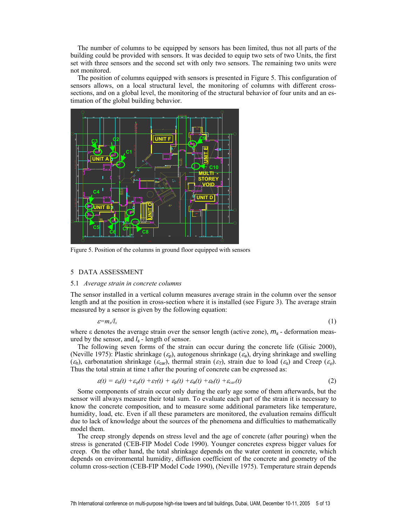The number of columns to be equipped by sensors has been limited, thus not all parts of the building could be provided with sensors. It was decided to equip two sets of two Units, the first set with three sensors and the second set with only two sensors. The remaining two units were not monitored.

The position of columns equipped with sensors is presented in Figure 5. This configuration of sensors allows, on a local structural level, the monitoring of columns with different crosssections, and on a global level, the monitoring of the structural behavior of four units and an estimation of the global building behavior.



Figure 5. Position of the columns in ground floor equipped with sensors

### 5 DATA ASSESSMENT

#### 5.1 *Average strain in concrete columns*

The sensor installed in a vertical column measures average strain in the column over the sensor length and at the position in cross-section where it is installed (see Figure 3). The average strain measured by a sensor is given by the following equation:

$$
\varepsilon = m_s/l_s \tag{1}
$$

where ε denotes the average strain over the sensor length (active zone), *ms* - deformation measured by the sensor, and *ls* - length of sensor.

The following seven forms of the strain can occur during the concrete life (Glisic 2000), (Neville 1975): Plastic shrinkage (<sup>ε</sup>*p*), autogenous shrinkage (<sup>ε</sup>*a*), drying shrinkage and swelling  $(\varepsilon_h)$ , carbonatation shrinkage ( $\varepsilon_{\text{car}}$ ), thermal strain ( $\varepsilon_{\text{T}}$ ), strain due to load ( $\varepsilon_s$ ) and Creep ( $\varepsilon_{\varphi}$ ). Thus the total strain at time t after the pouring of concrete can be expressed as:

$$
\varepsilon(t) = \varepsilon_{\rm s}(t) + \varepsilon_{\varphi}(t) + \varepsilon_{\rm T}(t) + \varepsilon_{\rm p}(t) + \varepsilon_{\rm a}(t) + \varepsilon_{\rm h}(t) + \varepsilon_{\rm car}(t) \tag{2}
$$

Some components of strain occur only during the early age some of them afterwards, but the sensor will always measure their total sum. To evaluate each part of the strain it is necessary to know the concrete composition, and to measure some additional parameters like temperature, humidity, load, etc. Even if all these parameters are monitored, the evaluation remains difficult due to lack of knowledge about the sources of the phenomena and difficulties to mathematically model them.

The creep strongly depends on stress level and the age of concrete (after pouring) when the stress is generated (CEB-FIP Model Code 1990). Younger concretes express bigger values for creep. On the other hand, the total shrinkage depends on the water content in concrete, which depends on environmental humidity, diffusion coefficient of the concrete and geometry of the column cross-section (CEB-FIP Model Code 1990), (Neville 1975). Temperature strain depends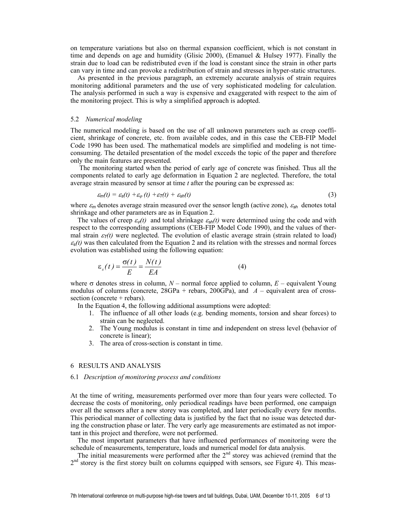on temperature variations but also on thermal expansion coefficient, which is not constant in time and depends on age and humidity (Glisic 2000), (Emanuel & Hulsey 1977). Finally the strain due to load can be redistributed even if the load is constant since the strain in other parts can vary in time and can provoke a redistribution of strain and stresses in hyper-static structures.

As presented in the previous paragraph, an extremely accurate analysis of strain requires monitoring additional parameters and the use of very sophisticated modeling for calculation. The analysis performed in such a way is expensive and exaggerated with respect to the aim of the monitoring project. This is why a simplified approach is adopted.

### 5.2 *Numerical modeling*

The numerical modeling is based on the use of all unknown parameters such as creep coefficient, shrinkage of concrete, etc. from available codes, and in this case the CEB-FIP Model Code 1990 has been used. The mathematical models are simplified and modeling is not timeconsuming. The detailed presentation of the model excceds the topic of the paper and therefore only the main features are presented.

The monitoring started when the period of early age of concrete was finished. Thus all the components related to early age deformation in Equation 2 are neglected. Therefore, the total average strain measured by sensor at time *t* after the pouring can be expressed as:

$$
\varepsilon_m(t) = \varepsilon_s(t) + \varepsilon_\varphi(t) + \varepsilon_T(t) + \varepsilon_{\rm sh}(t) \tag{3}
$$

where  $\varepsilon_m$  denotes average strain measured over the sensor length (active zone),  $\varepsilon_{s}$  denotes total shrinkage and other parameters are as in Equation 2.

The values of creep  $\varepsilon_{\varphi}(t)$  and total shrinkage  $\varepsilon_{\varphi}$ *(t)* were determined using the code and with respect to the corresponding assumptions (CEB-FIP Model Code 1990), and the values of thermal strain  $\varepsilon_T(t)$  were neglected. The evolution of elastic average strain (strain related to load)  $\varepsilon_{s}(t)$  was then calculated from the Equation 2 and its relation with the stresses and normal forces evolution was established using the following equation:

$$
\varepsilon_s(t) = \frac{\sigma(t)}{E} = \frac{N(t)}{EA}
$$
 (4)

where  $\sigma$  denotes stress in column,  $N$  – normal force applied to column,  $E$  – equivalent Young modulus of columns (concrete,  $28GPa$  + rebars,  $200GPa$ ), and  $A$  – equivalent area of crosssection (concrete + rebars).

In the Equation 4, the following additional assumptions were adopted:

- 1. The influence of all other loads (e.g. bending moments, torsion and shear forces) to strain can be neglected.
- 2. The Young modulus is constant in time and independent on stress level (behavior of concrete is linear);
- 3. The area of cross-section is constant in time.

# 6 RESULTS AND ANALYSIS

### 6.1 *Description of monitoring process and conditions*

At the time of writing, measurements performed over more than four years were collected. To decrease the costs of monitoring, only periodical readings have been performed, one campaign over all the sensors after a new storey was completed, and later periodically every few months. This periodical manner of collecting data is justified by the fact that no issue was detected during the construction phase or later. The very early age measurements are estimated as not important in this project and therefore, were not performed.

The most important parameters that have influenced performances of monitoring were the schedule of measurements, temperature, loads and numerical model for data analysis.

The initial measurements were performed after the  $2<sup>nd</sup>$  storey was achieved (remind that the  $2<sup>nd</sup>$  storey is the first storey built on columns equipped with sensors, see Figure 4). This meas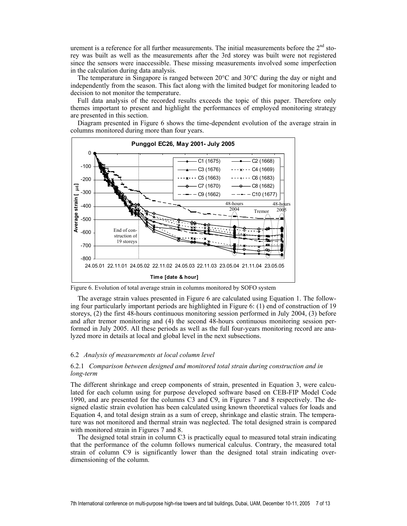urement is a reference for all further measurements. The initial measurements before the  $2<sup>nd</sup>$  storey was built as well as the measurements after the 3rd storey was built were not registered since the sensors were inaccessible. These missing measurements involved some imperfection in the calculation during data analysis.

The temperature in Singapore is ranged between  $20^{\circ}$ C and  $30^{\circ}$ C during the day or night and independently from the season. This fact along with the limited budget for monitoring leaded to decision to not monitor the temperature.

Full data analysis of the recorded results exceeds the topic of this paper. Therefore only themes important to present and highlight the performances of employed monitoring strategy are presented in this section.

Diagram presented in Figure 6 shows the time-dependent evolution of the average strain in columns monitored during more than four years.



Figure 6. Evolution of total average strain in columns monitored by SOFO system

The average strain values presented in Figure 6 are calculated using Equation 1. The following four particularly important periods are highlighted in Figure 6: (1) end of construction of 19 storeys, (2) the first 48-hours continuous monitoring session performed in July 2004, (3) before and after tremor monitoring and (4) the second 48-hours continuous monitoring session performed in July 2005. All these periods as well as the full four-years monitoring record are analyzed more in details at local and global level in the next subsections.

# 6.2 *Analysis of measurements at local column level*

# 6.2.1 *Comparison between designed and monitored total strain during construction and in long-term*

The different shrinkage and creep components of strain, presented in Equation 3, were calculated for each column using for purpose developed software based on CEB-FIP Model Code 1990, and are presented for the columns C3 and C9, in Figures 7 and 8 respectively. The designed elastic strain evolution has been calculated using known theoretical values for loads and Equation 4, and total design strain as a sum of creep, shrinkage and elastic strain. The temperature was not monitored and thermal strain was neglected. The total designed strain is compared with monitored strain in Figures 7 and 8.

The designed total strain in column C3 is practically equal to measured total strain indicating that the performance of the column follows numerical calculus. Contrary, the measured total strain of column C9 is significantly lower than the designed total strain indicating overdimensioning of the column.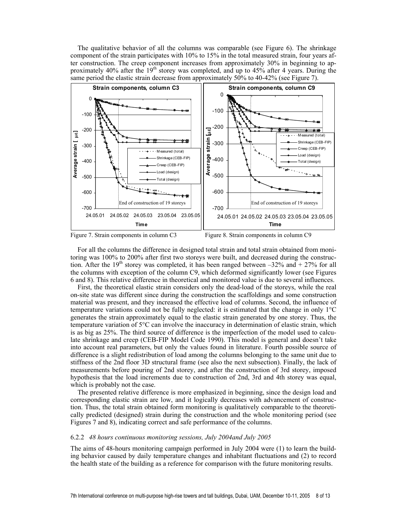The qualitative behavior of all the columns was comparable (see Figure 6). The shrinkage component of the strain participates with 10% to 15% in the total measured strain, four years after construction. The creep component increases from approximately 30% in beginning to approximately 40% after the 19<sup>th</sup> storey was completed, and up to 45% after 4 years. During the same period the elastic strain decrease from approximately 50% to 40-42% (see Figure 7).





For all the columns the difference in designed total strain and total strain obtained from monitoring was 100% to 200% after first two storeys were built, and decreased during the construction. After the 19<sup>th</sup> storey was completed, it has been ranged between  $-32\%$  and  $+27\%$  for all the columns with exception of the column C9, which deformed significantly lower (see Figures 6 and 8). This relative difference in theoretical and monitored value is due to several influences.

First, the theoretical elastic strain considers only the dead-load of the storeys, while the real on-site state was different since during the construction the scaffoldings and some construction material was present, and they increased the effective load of columns. Second, the influence of temperature variations could not be fully neglected: it is estimated that the change in only 1°C generates the strain approximately equal to the elastic strain generated by one storey. Thus, the temperature variation of 5°C can involve the inaccuracy in determination of elastic strain, which is as big as 25%. The third source of difference is the imperfection of the model used to calculate shrinkage and creep (CEB-FIP Model Code 1990). This model is general and doesn't take into account real parameters, but only the values found in literature. Fourth possible source of difference is a slight redistribution of load among the columns belonging to the same unit due to stiffness of the 2nd floor 3D structural frame (see also the next subsection). Finally, the lack of measurements before pouring of 2nd storey, and after the construction of 3rd storey, imposed hypothesis that the load increments due to construction of 2nd, 3rd and 4th storey was equal, which is probably not the case.

The presented relative difference is more emphasized in beginning, since the design load and corresponding elastic strain are low, and it logically decreases with advancement of construction. Thus, the total strain obtained form monitoring is qualitatively comparable to the theoretically predicted (designed) strain during the construction and the whole monitoring period (see Figures 7 and 8), indicating correct and safe performance of the columns.

### 6.2.2 *48 hours continuous monitoring sessions, July 2004and July 2005*

The aims of 48-hours monitoring campaign performed in July 2004 were (1) to learn the building behavior caused by daily temperature changes and inhabitant fluctuations and (2) to record the health state of the building as a reference for comparison with the future monitoring results.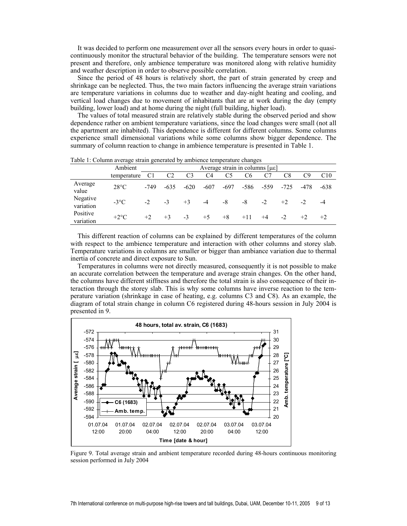It was decided to perform one measurement over all the sensors every hours in order to quasicontinuously monitor the structural behavior of the building. The temperature sensors were not present and therefore, only ambience temperature was monitored along with relative humidity and weather description in order to observe possible correlation.

Since the period of 48 hours is relatively short, the part of strain generated by creep and shrinkage can be neglected. Thus, the two main factors influencing the average strain variations are temperature variations in columns due to weather and day-night heating and cooling, and vertical load changes due to movement of inhabitants that are at work during the day (empty building, lower load) and at home during the night (full building, higher load).

The values of total measured strain are relatively stable during the observed period and show dependence rather on ambient temperature variations, since the load changes were small (not all the apartment are inhabited). This dependence is different for different columns. Some columns experience small dimensional variations while some columns show bigger dependence. The summary of column reaction to change in ambience temperature is presented in Table 1.

|                       | Ambient        |                | Average strain in columns [µɛ] |                |                |        |                |        |        |      |        |
|-----------------------|----------------|----------------|--------------------------------|----------------|----------------|--------|----------------|--------|--------|------|--------|
|                       | temperature    | C <sub>1</sub> | C <sub>2</sub>                 | C <sub>3</sub> | C <sub>4</sub> | C5     | C <sub>6</sub> | C7     | C8     | C9   | C10    |
| Average<br>value      | $28^{\circ}$ C | -749           | $-635$                         | $-620$         | $-607$         | $-697$ | $-586$         | $-559$ | $-725$ | -478 | $-638$ |
| Negative<br>variation | $-3$ °C        | $-2$           | $-3$                           | $+3$           | $-4$           | -8     | -8             | $-2$   | $+2$   | $-2$ | -4     |
| Positive<br>variation | $+2$ °C        | $+2$           | $+3$                           | $-3$           | $+5$           | $+8$   | $+11$          | $+4$   | $-2$   | $+2$ | $+2$   |

Table 1: Column average strain generated by ambience temperature changes

This different reaction of columns can be explained by different temperatures of the column with respect to the ambience temperature and interaction with other columns and storey slab. Temperature variations in columns are smaller or bigger than ambiance variation due to thermal inertia of concrete and direct exposure to Sun.

Temperatures in columns were not directly measured, consequently it is not possible to make an accurate correlation between the temperature and average strain changes. On the other hand, the columns have different stiffness and therefore the total strain is also consequence of their interaction through the storey slab. This is why some columns have inverse reaction to the temperature variation (shrinkage in case of heating, e.g. columns C3 and C8). As an example, the diagram of total strain change in column C6 registered during 48-hours session in July 2004 is presented in 9.



Figure 9. Total average strain and ambient temperature recorded during 48-hours continuous monitoring session performed in July 2004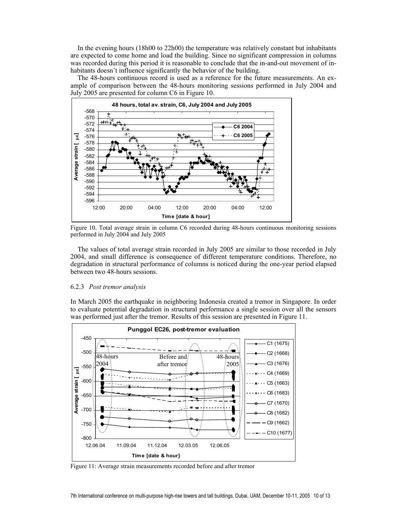In the evening hours (18h00 to 22h00) the temperature was relatively constant but inhabitants are expected to come home and load the building. Since no significant compression in columns was recorded during this period it is reasonable to conclude that the in-and-out movement of inhabitants doesn't influence significantly the behavior of the building.

The 48-hours continuous record is used as a reference for the future measurements. An example of comparison between the 48-hours monitoring sessions performed in July 2004 and July 2005 are presented for column C6 in Figure 10.



Figure 10. Total average strain in column C6 recorded during 48-hours continuous monitoring sessions performed in July 2004 and July 2005

The values of total average strain recorded in July 2005 are similar to those recorded in July 2004, and small difference is consequence of different temperature conditions. Therefore, no degradation in structural performance of columns is noticed during the one-year period elapsed between two 48-hours sessions.

### 6.2.3 *Post tremor analysis*

In March 2005 the earthquake in neighboring Indonesia created a tremor in Singapore. In order to evaluate potential degradation in structural performance a single session over all the sensors was performed just after the tremor. Results of this session are presented in Figure 11.



Figure 11: Average strain measurements recorded before and after tremor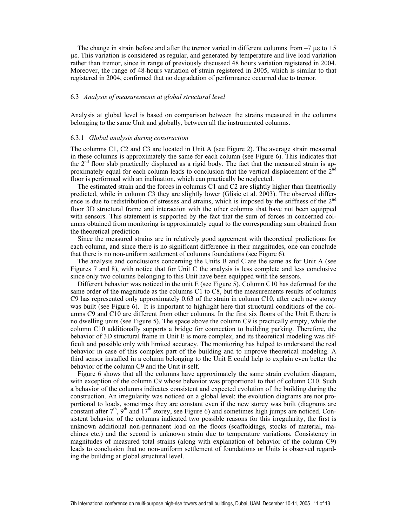The change in strain before and after the tremor varied in different columns from  $-7 \mu \epsilon$  to  $+5$ µε. This variation is considered as regular, and generated by temperature and live load variation rather than tremor, since in range of previously discussed 48 hours variation registered in 2004. Moreover, the range of 48-hours variation of strain registered in 2005, which is similar to that registered in 2004, confirmed that no degradation of performance occurred due to tremor.

### 6.3 *Analysis of measurements at global structural level*

Analysis at global level is based on comparison between the strains measured in the columns belonging to the same Unit and globally, between all the instrumented columns.

#### 6.3.1 *Global analysis during construction*

The columns C1, C2 and C3 are located in Unit A (see Figure 2). The average strain measured in these columns is approximately the same for each column (see Figure 6). This indicates that the 2<sup>nd</sup> floor slab practically displaced as a rigid body. The fact that the measured strain is approximately equal for each column leads to conclusion that the vertical displacement of the  $2<sup>nd</sup>$ floor is performed with an inclination, which can practically be neglected.

The estimated strain and the forces in columns C1 and C2 are slightly higher than theatrically predicted, while in column C3 they are slightly lower (Glisic et al. 2003). The observed difference is due to redistribution of stresses and strains, which is imposed by the stiffness of the  $2<sup>nd</sup>$ floor 3D structural frame and interaction with the other columns that have not been equipped with sensors. This statement is supported by the fact that the sum of forces in concerned columns obtained from monitoring is approximately equal to the corresponding sum obtained from the theoretical prediction.

Since the measured strains are in relatively good agreement with theoretical predictions for each column, and since there is no significant difference in their magnitudes, one can conclude that there is no non-uniform settlement of columns foundations (see Figure 6).

The analysis and conclusions concerning the Units B and C are the same as for Unit A (see Figures 7 and 8), with notice that for Unit C the analysis is less complete and less conclusive since only two columns belonging to this Unit have been equipped with the sensors.

Different behavior was noticed in the unit E (see Figure 5). Column C10 has deformed for the same order of the magnitude as the columns C1 to C8, but the measurements results of columns C9 has represented only approximately 0.63 of the strain in column C10, after each new storey was built (see Figure 6). It is important to highlight here that structural conditions of the columns C9 and C10 are different from other columns. In the first six floors of the Unit E there is no dwelling units (see Figure 5). The space above the column C9 is practically empty, while the column C10 additionally supports a bridge for connection to building parking. Therefore, the behavior of 3D structural frame in Unit E is more complex, and its theoretical modeling was difficult and possible only with limited accuracy. The monitoring has helped to understand the real behavior in case of this complex part of the building and to improve theoretical modeling. A third sensor installed in a column belonging to the Unit E could help to explain even better the behavior of the column C9 and the Unit it-self.

Figure 6 shows that all the columns have approximately the same strain evolution diagram, with exception of the column C9 whose behavior was proportional to that of column C10. Such a behavior of the columns indicates consistent and expected evolution of the building during the construction. An irregularity was noticed on a global level: the evolution diagrams are not proportional to loads, sometimes they are constant even if the new storey was built (diagrams are constant after  $7<sup>th</sup>$ ,  $9<sup>th</sup>$  and  $17<sup>th</sup>$  storey, see Figure 6) and sometimes high jumps are noticed. Consistent behavior of the columns indicated two possible reasons for this irregularity, the first is unknown additional non-permanent load on the floors (scaffoldings, stocks of material, machines etc.) and the second is unknown strain due to temperature variations. Consistency in magnitudes of measured total strains (along with explanation of behavior of the column C9) leads to conclusion that no non-uniform settlement of foundations or Units is observed regarding the building at global structural level.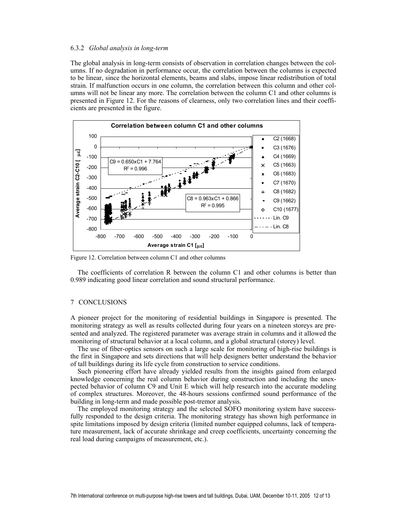### 6.3.2 *Global analysis in long-term*

The global analysis in long-term consists of observation in correlation changes between the columns. If no degradation in performance occur, the correlation between the columns is expected to be linear, since the horizontal elements, beams and slabs, impose linear redistribution of total strain. If malfunction occurs in one column, the correlation between this column and other columns will not be linear any more. The correlation between the column C1 and other columns is presented in Figure 12. For the reasons of clearness, only two correlation lines and their coefficients are presented in the figure.



Figure 12. Correlation between column C1 and other columns

The coefficients of correlation R between the column C1 and other columns is better than 0.989 indicating good linear correlation and sound structural performance.

# 7 CONCLUSIONS

A pioneer project for the monitoring of residential buildings in Singapore is presented. The monitoring strategy as well as results collected during four years on a nineteen storeys are presented and analyzed. The registered parameter was average strain in columns and it allowed the monitoring of structural behavior at a local column, and a global structural (storey) level.

The use of fiber-optics sensors on such a large scale for monitoring of high-rise buildings is the first in Singapore and sets directions that will help designers better understand the behavior of tall buildings during its life cycle from construction to service conditions.

Such pioneering effort have already yielded results from the insights gained from enlarged knowledge concerning the real column behavior during construction and including the unexpected behavior of column C9 and Unit E which will help research into the accurate modeling of complex structures. Moreover, the 48-hours sessions confirmed sound performance of the building in long-term and made possible post-tremor analysis.

The employed monitoring strategy and the selected SOFO monitoring system have successfully responded to the design criteria. The monitoring strategy has shown high performance in spite limitations imposed by design criteria (limited number equipped columns, lack of temperature measurement, lack of accurate shrinkage and creep coefficients, uncertainty concerning the real load during campaigns of measurement, etc.).